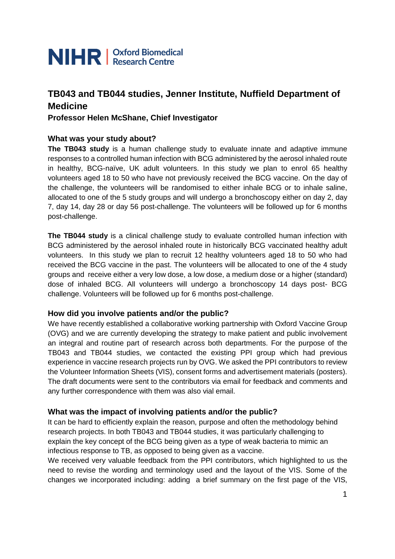

# **TB043 and TB044 studies, Jenner Institute, Nuffield Department of Medicine**

**Professor Helen McShane, Chief Investigator**

#### **What was your study about?**

**The TB043 study** is a human challenge study to evaluate innate and adaptive immune responses to a controlled human infection with BCG administered by the aerosol inhaled route in healthy, BCG-naïve, UK adult volunteers. In this study we plan to enrol 65 healthy volunteers aged 18 to 50 who have not previously received the BCG vaccine. On the day of the challenge, the volunteers will be randomised to either inhale BCG or to inhale saline, allocated to one of the 5 study groups and will undergo a bronchoscopy either on day 2, day 7, day 14, day 28 or day 56 post-challenge. The volunteers will be followed up for 6 months post-challenge.

**The TB044 study** is a clinical challenge study to evaluate controlled human infection with BCG administered by the aerosol inhaled route in historically BCG vaccinated healthy adult volunteers. In this study we plan to recruit 12 healthy volunteers aged 18 to 50 who had received the BCG vaccine in the past. The volunteers will be allocated to one of the 4 study groups and receive either a very low dose, a low dose, a medium dose or a higher (standard) dose of inhaled BCG. All volunteers will undergo a bronchoscopy 14 days post- BCG challenge. Volunteers will be followed up for 6 months post-challenge.

#### **How did you involve patients and/or the public?**

We have recently established a collaborative working partnership with Oxford Vaccine Group (OVG) and we are currently developing the strategy to make patient and public involvement an integral and routine part of research across both departments. For the purpose of the TB043 and TB044 studies, we contacted the existing PPI group which had previous experience in vaccine research projects run by OVG. We asked the PPI contributors to review the Volunteer Information Sheets (VIS), consent forms and advertisement materials (posters). The draft documents were sent to the contributors via email for feedback and comments and any further correspondence with them was also vial email.

### **What was the impact of involving patients and/or the public?**

It can be hard to efficiently explain the reason, purpose and often the methodology behind research projects. In both TB043 and TB044 studies, it was particularly challenging to explain the key concept of the BCG being given as a type of weak bacteria to mimic an infectious response to TB, as opposed to being given as a vaccine.

We received very valuable feedback from the PPI contributors, which highlighted to us the need to revise the wording and terminology used and the layout of the VIS. Some of the changes we incorporated including: adding a brief summary on the first page of the VIS,